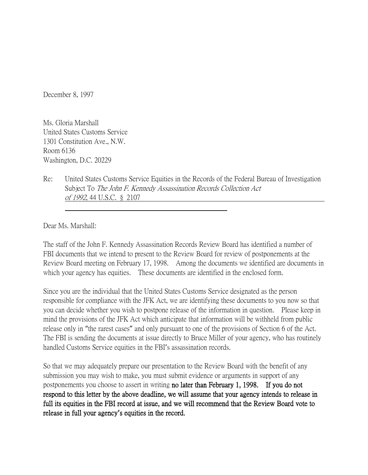December 8, 1997

Ms. Gloria Marshall United States Customs Service 1301 Constitution Ave., N.W. Room 6136 Washington, D.C. 20229

Re: United States Customs Service Equities in the Records of the Federal Bureau of Investigation Subject To The John F. Kennedy Assassination Records Collection Act of 1992, 44 U.S.C. § 2107

Dear Ms. Marshall:

The staff of the John F. Kennedy Assassination Records Review Board has identified a number of FBI documents that we intend to present to the Review Board for review of postponements at the Review Board meeting on February 17, 1998. Among the documents we identified are documents in which your agency has equities. These documents are identified in the enclosed form.

Since you are the individual that the United States Customs Service designated as the person responsible for compliance with the JFK Act, we are identifying these documents to you now so that you can decide whether you wish to postpone release of the information in question. Please keep in mind the provisions of the JFK Act which anticipate that information will be withheld from public release only in "the rarest cases" and only pursuant to one of the provisions of Section 6 of the Act. The FBI is sending the documents at issue directly to Bruce Miller of your agency, who has routinely handled Customs Service equities in the FBI's assassination records.

So that we may adequately prepare our presentation to the Review Board with the benefit of any submission you may wish to make, you must submit evidence or arguments in support of any postponements you choose to assert in writing no later than February 1, 1998. If you do not respond to this letter by the above deadline, we will assume that your agency intends to release in full its equities in the FBI record at issue, and we will recommend that the Review Board vote to release in full your agency**'**s equities in the record.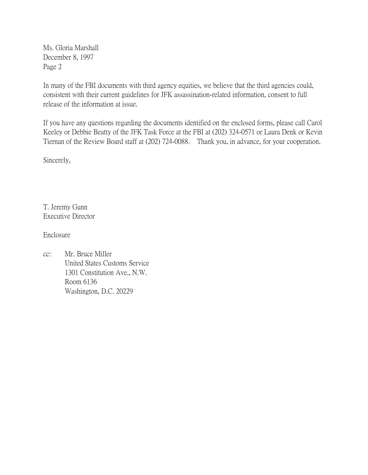Ms. Gloria Marshall December 8, 1997 Page 2

In many of the FBI documents with third agency equities, we believe that the third agencies could, consistent with their current guidelines for JFK assassination-related information, consent to full release of the information at issue.

If you have any questions regarding the documents identified on the enclosed forms, please call Carol Keeley or Debbie Beatty of the JFK Task Force at the FBI at (202) 324-0571 or Laura Denk or Kevin Tiernan of the Review Board staff at (202) 724-0088. Thank you, in advance, for your cooperation.

Sincerely,

T. Jeremy Gunn Executive Director

Enclosure

cc: Mr. Bruce Miller United States Customs Service 1301 Constitution Ave., N.W. Room 6136 Washington, D.C. 20229